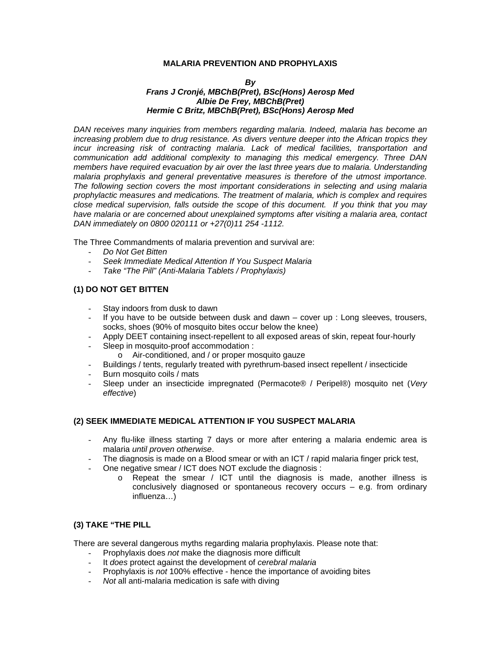## **MALARIA PREVENTION AND PROPHYLAXIS**

#### *By Frans J Cronjé, MBChB(Pret), BSc(Hons) Aerosp Med Albie De Frey, MBChB(Pret) Hermie C Britz, MBChB(Pret), BSc(Hons) Aerosp Med*

*DAN receives many inquiries from members regarding malaria. Indeed, malaria has become an increasing problem due to drug resistance. As divers venture deeper into the African tropics they incur increasing risk of contracting malaria. Lack of medical facilities, transportation and communication add additional complexity to managing this medical emergency. Three DAN members have required evacuation by air over the last three years due to malaria. Understanding malaria prophylaxis and general preventative measures is therefore of the utmost importance. The following section covers the most important considerations in selecting and using malaria prophylactic measures and medications. The treatment of malaria, which is complex and requires close medical supervision, falls outside the scope of this document. If you think that you may have malaria or are concerned about unexplained symptoms after visiting a malaria area, contact DAN immediately on 0800 020111 or +27(0)11 254 -1112.* 

The Three Commandments of malaria prevention and survival are:

- *Do Not Get Bitten*
- *Seek Immediate Medical Attention If You Suspect Malaria*
- *Take "The Pill" (Anti-Malaria Tablets / Prophylaxis)*

# **(1) DO NOT GET BITTEN**

- Stay indoors from dusk to dawn
- If you have to be outside between dusk and dawn  $-$  cover up : Long sleeves, trousers, socks, shoes (90% of mosquito bites occur below the knee)
- Apply DEET containing insect-repellent to all exposed areas of skin, repeat four-hourly
- Sleep in mosquito-proof accommodation :
	- o Air-conditioned, and / or proper mosquito gauze
- Buildings / tents, regularly treated with pyrethrum-based insect repellent / insecticide
- Burn mosquito coils / mats
- Sleep under an insecticide impregnated (Permacote® / Peripel®) mosquito net (*Very effective*)

## **(2) SEEK IMMEDIATE MEDICAL ATTENTION IF YOU SUSPECT MALARIA**

- Any flu-like illness starting 7 days or more after entering a malaria endemic area is malaria *until proven otherwise*.
- The diagnosis is made on a Blood smear or with an ICT / rapid malaria finger prick test,
- One negative smear / ICT does NOT exclude the diagnosis :
	- o Repeat the smear / ICT until the diagnosis is made, another illness is conclusively diagnosed or spontaneous recovery occurs – e.g. from ordinary influenza…)

## **(3) TAKE "THE PILL**

There are several dangerous myths regarding malaria prophylaxis. Please note that:

- Prophylaxis does *not* make the diagnosis more difficult
- It *does* protect against the development of *cerebral malaria*
- Prophylaxis is *not* 100% effective hence the importance of avoiding bites
- *Not* all anti-malaria medication is safe with diving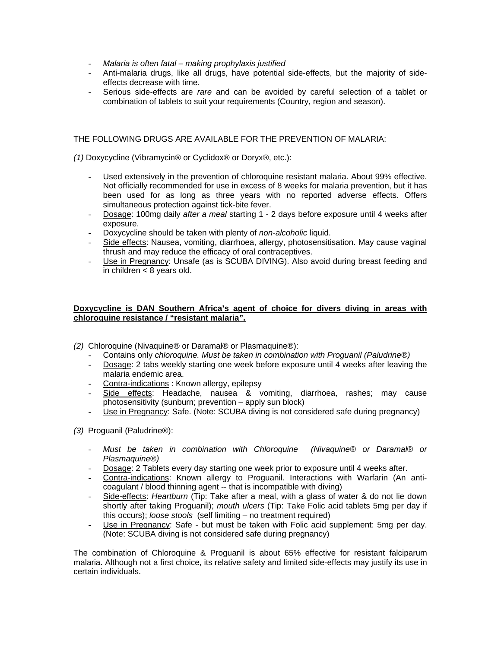- *Malaria is often fatal making prophylaxis justified*
- Anti-malaria drugs, like all drugs, have potential side-effects, but the majority of sideeffects decrease with time.
- Serious side-effects are *rare* and can be avoided by careful selection of a tablet or combination of tablets to suit your requirements (Country, region and season).

# THE FOLLOWING DRUGS ARE AVAILABLE FOR THE PREVENTION OF MALARIA:

*(1)* Doxycycline (Vibramycin® or Cyclidox® or Doryx®, etc.):

- Used extensively in the prevention of chloroquine resistant malaria. About 99% effective. Not officially recommended for use in excess of 8 weeks for malaria prevention, but it has been used for as long as three years with no reported adverse effects. Offers simultaneous protection against tick-bite fever.
- Dosage: 100mg daily *after a meal* starting 1 2 days before exposure until 4 weeks after exposure.
- Doxycycline should be taken with plenty of *non-alcoholic* liquid.
- Side effects: Nausea, vomiting, diarrhoea, allergy, photosensitisation. May cause vaginal thrush and may reduce the efficacy of oral contraceptives.
- Use in Pregnancy: Unsafe (as is SCUBA DIVING). Also avoid during breast feeding and in children < 8 years old.

## **Doxycycline is DAN Southern Africa's agent of choice for divers diving in areas with chloroquine resistance / "resistant malaria".**

- *(2)* Chloroquine (Nivaquine® or Daramal® or Plasmaquine®):
	- Contains only *chloroquine. Must be taken in combination with Proguanil (Paludrine*®*)*
	- Dosage: 2 tabs weekly starting one week before exposure until 4 weeks after leaving the malaria endemic area.
	- Contra-indications : Known allergy, epilepsy
	- Side effects: Headache, nausea & vomiting, diarrhoea, rashes; may cause photosensitivity (sunburn; prevention – apply sun block)
	- Use in Pregnancy: Safe. (Note: SCUBA diving is not considered safe during pregnancy)

*(3)* Proguanil (Paludrine®):

- *Must be taken in combination with Chloroquine (Nivaquine*® *or Daramal*® *or Plasmaquine*®*)*
- Dosage: 2 Tablets every day starting one week prior to exposure until 4 weeks after.
- Contra-indications: Known allergy to Proguanil. Interactions with Warfarin (An anticoagulant / blood thinning agent -- that is incompatible with diving)
- Side-effects: *Heartburn* (Tip: Take after a meal, with a glass of water & do not lie down shortly after taking Proguanil); *mouth ulcers* (Tip: Take Folic acid tablets 5mg per day if this occurs); *loose stools* (self limiting – no treatment required)
- Use in Pregnancy: Safe but must be taken with Folic acid supplement: 5mg per day. (Note: SCUBA diving is not considered safe during pregnancy)

The combination of Chloroquine & Proguanil is about 65% effective for resistant falciparum malaria. Although not a first choice, its relative safety and limited side-effects may justify its use in certain individuals.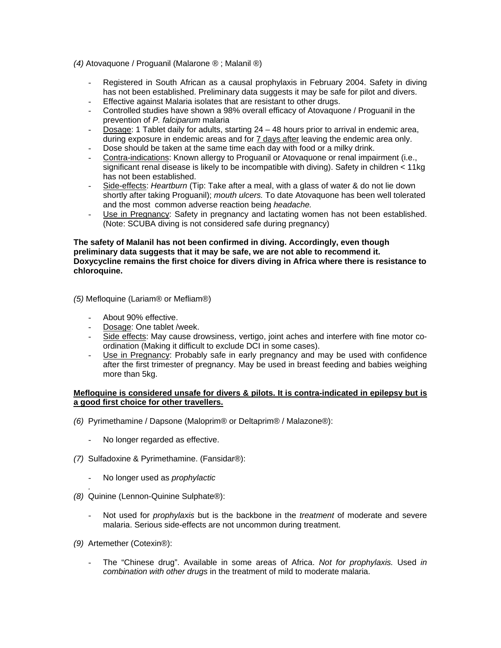## *(4)* Atovaquone / Proguanil (Malarone ® ; Malanil ®)

- Registered in South African as a causal prophylaxis in February 2004. Safety in diving has not been established. Preliminary data suggests it may be safe for pilot and divers.
- Effective against Malaria isolates that are resistant to other drugs.
- Controlled studies have shown a 98% overall efficacy of Atovaquone / Proguanil in the prevention of *P. falciparum* malaria
- Dosage: 1 Tablet daily for adults, starting 24 48 hours prior to arrival in endemic area, during exposure in endemic areas and for 7 days after leaving the endemic area only. Dose should be taken at the same time each day with food or a milky drink.
- Contra-indications: Known allergy to Proguanil or Atovaquone or renal impairment (i.e., significant renal disease is likely to be incompatible with diving). Safety in children < 11kg has not been established.
- Side-effects: *Heartburn* (Tip: Take after a meal, with a glass of water & do not lie down shortly after taking Proguanil); *mouth ulcers.* To date Atovaquone has been well tolerated and the most common adverse reaction being *headache.*
- Use in Pregnancy: Safety in pregnancy and lactating women has not been established. (Note: SCUBA diving is not considered safe during pregnancy)

## **The safety of Malanil has not been confirmed in diving. Accordingly, even though preliminary data suggests that it may be safe, we are not able to recommend it. Doxycycline remains the first choice for divers diving in Africa where there is resistance to chloroquine.**

*(5)* Mefloquine (Lariam® or Mefliam®)

- About 90% effective.
- Dosage: One tablet /week.
- Side effects: May cause drowsiness, vertigo, joint aches and interfere with fine motor coordination (Making it difficult to exclude DCI in some cases).
- Use in Pregnancy: Probably safe in early pregnancy and may be used with confidence after the first trimester of pregnancy. May be used in breast feeding and babies weighing more than 5kg.

## **Mefloquine is considered unsafe for divers & pilots. It is contra-indicated in epilepsy but is a good first choice for other travellers.**

- *(6)* Pyrimethamine / Dapsone (Maloprim® or Deltaprim® / Malazone®):
	- No longer regarded as effective.
- *(7)* Sulfadoxine & Pyrimethamine. (Fansidar®):
	- No longer used as *prophylactic*
- *. (8)* Quinine (Lennon-Quinine Sulphate®):
	- Not used for *prophylaxis* but is the backbone in the *treatment* of moderate and severe malaria. Serious side-effects are not uncommon during treatment.
- *(9)* Artemether (Cotexin®):
	- The "Chinese drug". Available in some areas of Africa. *Not for prophylaxis.* Used *in combination with other drugs* in the treatment of mild to moderate malaria.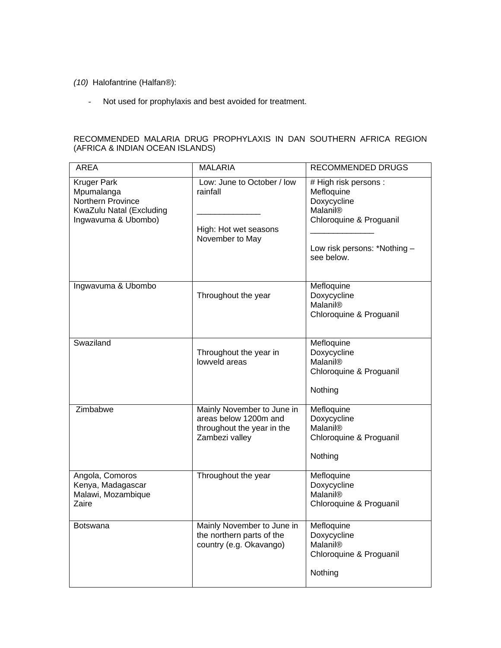*(10)* Halofantrine (Halfan®):

- Not used for prophylaxis and best avoided for treatment.

# RECOMMENDED MALARIA DRUG PROPHYLAXIS IN DAN SOUTHERN AFRICA REGION (AFRICA & INDIAN OCEAN ISLANDS)

| <b>AREA</b>                                                                                              | <b>MALARIA</b>                                                                                      | <b>RECOMMENDED DRUGS</b>                                                                                                                            |
|----------------------------------------------------------------------------------------------------------|-----------------------------------------------------------------------------------------------------|-----------------------------------------------------------------------------------------------------------------------------------------------------|
| <b>Kruger Park</b><br>Mpumalanga<br>Northern Province<br>KwaZulu Natal (Excluding<br>Ingwavuma & Ubombo) | Low: June to October / low<br>rainfall<br>High: Hot wet seasons<br>November to May                  | # High risk persons :<br>Mefloquine<br>Doxycycline<br>Malanil <sup>®</sup><br>Chloroquine & Proguanil<br>Low risk persons: *Nothing -<br>see below. |
| Ingwavuma & Ubombo                                                                                       | Throughout the year                                                                                 | Mefloquine<br>Doxycycline<br>Malanil®<br>Chloroquine & Proguanil                                                                                    |
| Swaziland                                                                                                | Throughout the year in<br>lowveld areas                                                             | Mefloquine<br>Doxycycline<br>Malanil <sup>®</sup><br>Chloroquine & Proguanil<br>Nothing                                                             |
| Zimbabwe                                                                                                 | Mainly November to June in<br>areas below 1200m and<br>throughout the year in the<br>Zambezi valley | Mefloquine<br>Doxycycline<br><b>Malanil®</b><br>Chloroquine & Proguanil<br>Nothing                                                                  |
| Angola, Comoros<br>Kenya, Madagascar<br>Malawi, Mozambique<br>Zaire                                      | Throughout the year                                                                                 | Mefloquine<br>Doxycycline<br><b>Malanil®</b><br>Chloroquine & Proguanil                                                                             |
| <b>Botswana</b>                                                                                          | Mainly November to June in<br>the northern parts of the<br>country (e.g. Okavango)                  | Mefloquine<br>Doxycycline<br><b>Malanil®</b><br>Chloroquine & Proguanil<br>Nothing                                                                  |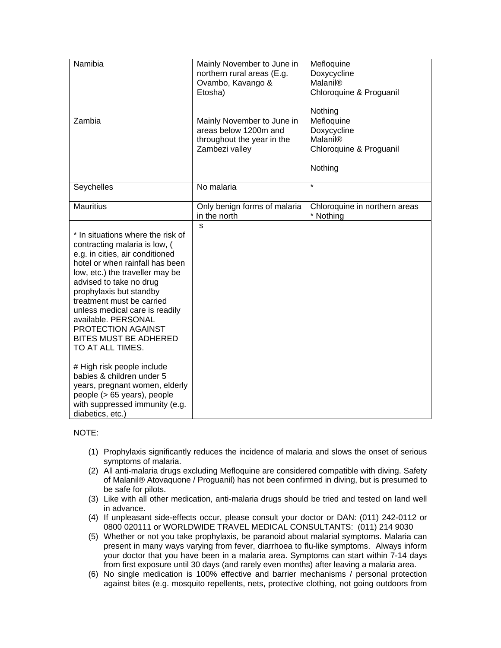| Namibia                                                                                                                                                                                                                                                                                                                                                                                                                                                                                                                                                                             | Mainly November to June in<br>northern rural areas (E.g.<br>Ovambo, Kavango &<br>Etosha)            | Mefloquine<br>Doxycycline<br>Malanil®<br>Chloroquine & Proguanil<br>Nothing |
|-------------------------------------------------------------------------------------------------------------------------------------------------------------------------------------------------------------------------------------------------------------------------------------------------------------------------------------------------------------------------------------------------------------------------------------------------------------------------------------------------------------------------------------------------------------------------------------|-----------------------------------------------------------------------------------------------------|-----------------------------------------------------------------------------|
| Zambia                                                                                                                                                                                                                                                                                                                                                                                                                                                                                                                                                                              | Mainly November to June in<br>areas below 1200m and<br>throughout the year in the<br>Zambezi valley | Mefloquine<br>Doxycycline<br>Malanil®<br>Chloroquine & Proguanil<br>Nothing |
| Seychelles                                                                                                                                                                                                                                                                                                                                                                                                                                                                                                                                                                          | No malaria                                                                                          | $\star$                                                                     |
| <b>Mauritius</b>                                                                                                                                                                                                                                                                                                                                                                                                                                                                                                                                                                    | Only benign forms of malaria<br>in the north                                                        | Chloroquine in northern areas<br>* Nothing                                  |
| * In situations where the risk of<br>contracting malaria is low, (<br>e.g. in cities, air conditioned<br>hotel or when rainfall has been<br>low, etc.) the traveller may be<br>advised to take no drug<br>prophylaxis but standby<br>treatment must be carried<br>unless medical care is readily<br>available. PERSONAL<br>PROTECTION AGAINST<br><b>BITES MUST BE ADHERED</b><br>TO AT ALL TIMES.<br># High risk people include<br>babies & children under 5<br>years, pregnant women, elderly<br>people (> 65 years), people<br>with suppressed immunity (e.g.<br>diabetics, etc.) | S.                                                                                                  |                                                                             |

NOTE:

- (1) Prophylaxis significantly reduces the incidence of malaria and slows the onset of serious symptoms of malaria.
- (2) All anti-malaria drugs excluding Mefloquine are considered compatible with diving. Safety of Malanil® Atovaquone / Proguanil) has not been confirmed in diving, but is presumed to be safe for pilots.
- (3) Like with all other medication, anti-malaria drugs should be tried and tested on land well in advance.
- (4) If unpleasant side-effects occur, please consult your doctor or DAN: (011) 242-0112 or 0800 020111 or WORLDWIDE TRAVEL MEDICAL CONSULTANTS: (011) 214 9030
- (5) Whether or not you take prophylaxis, be paranoid about malarial symptoms. Malaria can present in many ways varying from fever, diarrhoea to flu-like symptoms. Always inform your doctor that you have been in a malaria area. Symptoms can start within 7-14 days from first exposure until 30 days (and rarely even months) after leaving a malaria area.
- (6) No single medication is 100% effective and barrier mechanisms / personal protection against bites (e.g. mosquito repellents, nets, protective clothing, not going outdoors from